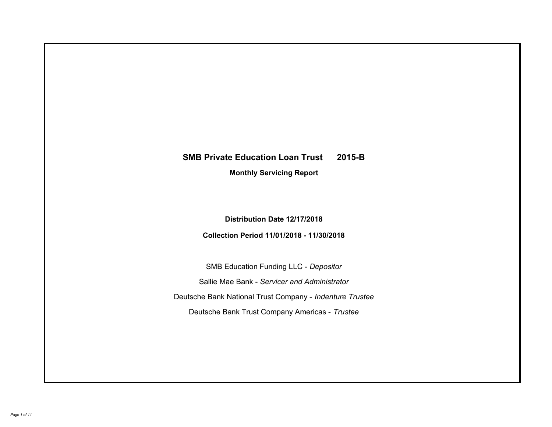# **SMB Private Education Loan Trust 2015-B Monthly Servicing Report**

**Distribution Date 12/17/2018**

**Collection Period 11/01/2018 - 11/30/2018**

SMB Education Funding LLC - *Depositor* Sallie Mae Bank - *Servicer and Administrator* Deutsche Bank National Trust Company - *Indenture Trustee* Deutsche Bank Trust Company Americas - *Trustee*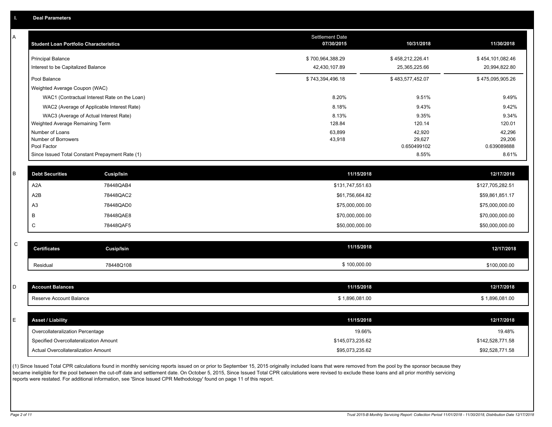| A            | <b>Student Loan Portfolio Characteristics</b> |                                                 | <b>Settlement Date</b><br>07/30/2015 | 10/31/2018            | 11/30/2018            |
|--------------|-----------------------------------------------|-------------------------------------------------|--------------------------------------|-----------------------|-----------------------|
|              | <b>Principal Balance</b>                      |                                                 | \$700,964,388.29                     | \$458,212,226.41      | \$454,101,082.46      |
|              | Interest to be Capitalized Balance            |                                                 | 42,430,107.89                        | 25,365,225.66         | 20,994,822.80         |
|              | Pool Balance                                  |                                                 | \$743,394,496.18                     | \$483,577,452.07      | \$475,095,905.26      |
|              | Weighted Average Coupon (WAC)                 |                                                 |                                      |                       |                       |
|              |                                               | WAC1 (Contractual Interest Rate on the Loan)    | 8.20%                                | 9.51%                 | 9.49%                 |
|              |                                               | WAC2 (Average of Applicable Interest Rate)      | 8.18%                                | 9.43%                 | 9.42%                 |
|              |                                               | WAC3 (Average of Actual Interest Rate)          | 8.13%                                | 9.35%                 | 9.34%                 |
|              | Weighted Average Remaining Term               |                                                 | 128.84                               | 120.14                | 120.01                |
|              | Number of Loans                               |                                                 | 63,899                               | 42,920                | 42,296                |
|              | Number of Borrowers<br>Pool Factor            |                                                 | 43,918                               | 29,627<br>0.650499102 | 29,206<br>0.639089888 |
|              |                                               | Since Issued Total Constant Prepayment Rate (1) |                                      | 8.55%                 | 8.61%                 |
|              |                                               |                                                 |                                      |                       |                       |
| B            | <b>Debt Securities</b>                        | Cusip/Isin                                      | 11/15/2018                           |                       | 12/17/2018            |
|              | A <sub>2</sub> A                              | 78448QAB4                                       | \$131,747,551.63                     |                       | \$127,705,282.51      |
|              | A <sub>2</sub> B                              | 78448QAC2                                       | \$61,756,664.82                      |                       | \$59,861,851.17       |
|              | A <sub>3</sub>                                | 78448QAD0                                       | \$75,000,000.00                      |                       | \$75,000,000.00       |
|              | B                                             | 78448QAE8                                       | \$70,000,000.00                      |                       | \$70,000,000.00       |
|              | C                                             | 78448QAF5                                       | \$50,000,000.00                      |                       | \$50,000,000.00       |
|              |                                               |                                                 |                                      |                       |                       |
| $\mathsf{C}$ | <b>Certificates</b>                           | <b>Cusip/Isin</b>                               | 11/15/2018                           |                       | 12/17/2018            |
|              | Residual                                      | 78448Q108                                       | \$100,000.00                         |                       | \$100,000.00          |
|              |                                               |                                                 |                                      |                       |                       |
| D            | <b>Account Balances</b>                       |                                                 | 11/15/2018                           |                       | 12/17/2018            |
|              | Reserve Account Balance                       |                                                 | \$1,896,081.00                       |                       | \$1,896,081.00        |
|              |                                               |                                                 |                                      |                       |                       |
| E            | <b>Asset / Liability</b>                      |                                                 | 11/15/2018                           |                       | 12/17/2018            |
|              | Overcollateralization Percentage              |                                                 | 19.66%                               |                       | 19.48%                |
|              | Specified Overcollateralization Amount        |                                                 | \$145,073,235.62                     |                       | \$142,528,771.58      |
|              | Actual Overcollateralization Amount           |                                                 | \$95,073,235.62                      |                       | \$92,528,771.58       |
|              |                                               |                                                 |                                      |                       |                       |

(1) Since Issued Total CPR calculations found in monthly servicing reports issued on or prior to September 15, 2015 originally included loans that were removed from the pool by the sponsor because they became ineligible for the pool between the cut-off date and settlement date. On October 5, 2015, Since Issued Total CPR calculations were revised to exclude these loans and all prior monthly servicing reports were restated. For additional information, see 'Since Issued CPR Methodology' found on page 11 of this report.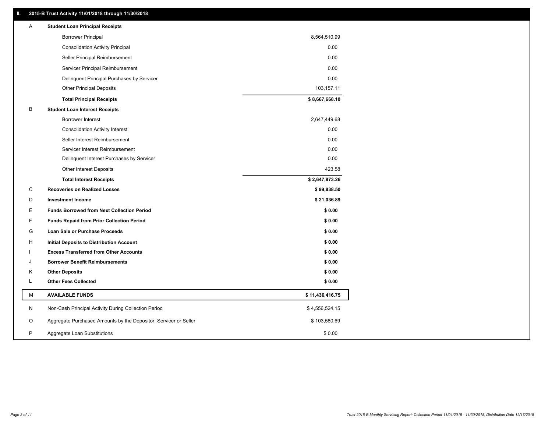# **II. 2015-B Trust Activity 11/01/2018 through 11/30/2018**

| <b>Borrower Principal</b><br>8,564,510.99<br><b>Consolidation Activity Principal</b><br>0.00<br>Seller Principal Reimbursement<br>0.00<br>Servicer Principal Reimbursement<br>0.00<br>Delinquent Principal Purchases by Servicer<br>0.00<br><b>Other Principal Deposits</b><br>103,157.11<br>\$8,667,668.10<br><b>Total Principal Receipts</b><br>в<br><b>Student Loan Interest Receipts</b><br><b>Borrower Interest</b><br>2,647,449.68<br>0.00<br><b>Consolidation Activity Interest</b><br>Seller Interest Reimbursement<br>0.00<br>Servicer Interest Reimbursement<br>0.00<br>Delinquent Interest Purchases by Servicer<br>0.00<br><b>Other Interest Deposits</b><br>423.58<br>\$2,647,873.26<br><b>Total Interest Receipts</b><br>C<br><b>Recoveries on Realized Losses</b><br>\$99,838.50<br>D<br><b>Investment Income</b><br>\$21,036.89<br>Е<br>\$0.00<br><b>Funds Borrowed from Next Collection Period</b><br>F.<br>\$0.00<br><b>Funds Repaid from Prior Collection Period</b><br>\$0.00<br>G<br>Loan Sale or Purchase Proceeds<br>\$0.00<br>н<br>Initial Deposits to Distribution Account<br>\$0.00<br><b>Excess Transferred from Other Accounts</b><br>\$0.00<br><b>Borrower Benefit Reimbursements</b><br>J<br><b>Other Deposits</b><br>\$0.00<br>Κ<br>Г<br><b>Other Fees Collected</b><br>\$0.00<br>М<br><b>AVAILABLE FUNDS</b><br>\$11,436,416.75<br>N<br>Non-Cash Principal Activity During Collection Period<br>\$4,556,524.15<br>O<br>Aggregate Purchased Amounts by the Depositor, Servicer or Seller<br>\$103,580.69<br>P<br>\$0.00<br>Aggregate Loan Substitutions | Α | <b>Student Loan Principal Receipts</b> |  |
|----------------------------------------------------------------------------------------------------------------------------------------------------------------------------------------------------------------------------------------------------------------------------------------------------------------------------------------------------------------------------------------------------------------------------------------------------------------------------------------------------------------------------------------------------------------------------------------------------------------------------------------------------------------------------------------------------------------------------------------------------------------------------------------------------------------------------------------------------------------------------------------------------------------------------------------------------------------------------------------------------------------------------------------------------------------------------------------------------------------------------------------------------------------------------------------------------------------------------------------------------------------------------------------------------------------------------------------------------------------------------------------------------------------------------------------------------------------------------------------------------------------------------------------------------------------------------------------|---|----------------------------------------|--|
|                                                                                                                                                                                                                                                                                                                                                                                                                                                                                                                                                                                                                                                                                                                                                                                                                                                                                                                                                                                                                                                                                                                                                                                                                                                                                                                                                                                                                                                                                                                                                                                        |   |                                        |  |
|                                                                                                                                                                                                                                                                                                                                                                                                                                                                                                                                                                                                                                                                                                                                                                                                                                                                                                                                                                                                                                                                                                                                                                                                                                                                                                                                                                                                                                                                                                                                                                                        |   |                                        |  |
|                                                                                                                                                                                                                                                                                                                                                                                                                                                                                                                                                                                                                                                                                                                                                                                                                                                                                                                                                                                                                                                                                                                                                                                                                                                                                                                                                                                                                                                                                                                                                                                        |   |                                        |  |
|                                                                                                                                                                                                                                                                                                                                                                                                                                                                                                                                                                                                                                                                                                                                                                                                                                                                                                                                                                                                                                                                                                                                                                                                                                                                                                                                                                                                                                                                                                                                                                                        |   |                                        |  |
|                                                                                                                                                                                                                                                                                                                                                                                                                                                                                                                                                                                                                                                                                                                                                                                                                                                                                                                                                                                                                                                                                                                                                                                                                                                                                                                                                                                                                                                                                                                                                                                        |   |                                        |  |
|                                                                                                                                                                                                                                                                                                                                                                                                                                                                                                                                                                                                                                                                                                                                                                                                                                                                                                                                                                                                                                                                                                                                                                                                                                                                                                                                                                                                                                                                                                                                                                                        |   |                                        |  |
|                                                                                                                                                                                                                                                                                                                                                                                                                                                                                                                                                                                                                                                                                                                                                                                                                                                                                                                                                                                                                                                                                                                                                                                                                                                                                                                                                                                                                                                                                                                                                                                        |   |                                        |  |
|                                                                                                                                                                                                                                                                                                                                                                                                                                                                                                                                                                                                                                                                                                                                                                                                                                                                                                                                                                                                                                                                                                                                                                                                                                                                                                                                                                                                                                                                                                                                                                                        |   |                                        |  |
|                                                                                                                                                                                                                                                                                                                                                                                                                                                                                                                                                                                                                                                                                                                                                                                                                                                                                                                                                                                                                                                                                                                                                                                                                                                                                                                                                                                                                                                                                                                                                                                        |   |                                        |  |
|                                                                                                                                                                                                                                                                                                                                                                                                                                                                                                                                                                                                                                                                                                                                                                                                                                                                                                                                                                                                                                                                                                                                                                                                                                                                                                                                                                                                                                                                                                                                                                                        |   |                                        |  |
|                                                                                                                                                                                                                                                                                                                                                                                                                                                                                                                                                                                                                                                                                                                                                                                                                                                                                                                                                                                                                                                                                                                                                                                                                                                                                                                                                                                                                                                                                                                                                                                        |   |                                        |  |
|                                                                                                                                                                                                                                                                                                                                                                                                                                                                                                                                                                                                                                                                                                                                                                                                                                                                                                                                                                                                                                                                                                                                                                                                                                                                                                                                                                                                                                                                                                                                                                                        |   |                                        |  |
|                                                                                                                                                                                                                                                                                                                                                                                                                                                                                                                                                                                                                                                                                                                                                                                                                                                                                                                                                                                                                                                                                                                                                                                                                                                                                                                                                                                                                                                                                                                                                                                        |   |                                        |  |
|                                                                                                                                                                                                                                                                                                                                                                                                                                                                                                                                                                                                                                                                                                                                                                                                                                                                                                                                                                                                                                                                                                                                                                                                                                                                                                                                                                                                                                                                                                                                                                                        |   |                                        |  |
|                                                                                                                                                                                                                                                                                                                                                                                                                                                                                                                                                                                                                                                                                                                                                                                                                                                                                                                                                                                                                                                                                                                                                                                                                                                                                                                                                                                                                                                                                                                                                                                        |   |                                        |  |
|                                                                                                                                                                                                                                                                                                                                                                                                                                                                                                                                                                                                                                                                                                                                                                                                                                                                                                                                                                                                                                                                                                                                                                                                                                                                                                                                                                                                                                                                                                                                                                                        |   |                                        |  |
|                                                                                                                                                                                                                                                                                                                                                                                                                                                                                                                                                                                                                                                                                                                                                                                                                                                                                                                                                                                                                                                                                                                                                                                                                                                                                                                                                                                                                                                                                                                                                                                        |   |                                        |  |
|                                                                                                                                                                                                                                                                                                                                                                                                                                                                                                                                                                                                                                                                                                                                                                                                                                                                                                                                                                                                                                                                                                                                                                                                                                                                                                                                                                                                                                                                                                                                                                                        |   |                                        |  |
|                                                                                                                                                                                                                                                                                                                                                                                                                                                                                                                                                                                                                                                                                                                                                                                                                                                                                                                                                                                                                                                                                                                                                                                                                                                                                                                                                                                                                                                                                                                                                                                        |   |                                        |  |
|                                                                                                                                                                                                                                                                                                                                                                                                                                                                                                                                                                                                                                                                                                                                                                                                                                                                                                                                                                                                                                                                                                                                                                                                                                                                                                                                                                                                                                                                                                                                                                                        |   |                                        |  |
|                                                                                                                                                                                                                                                                                                                                                                                                                                                                                                                                                                                                                                                                                                                                                                                                                                                                                                                                                                                                                                                                                                                                                                                                                                                                                                                                                                                                                                                                                                                                                                                        |   |                                        |  |
|                                                                                                                                                                                                                                                                                                                                                                                                                                                                                                                                                                                                                                                                                                                                                                                                                                                                                                                                                                                                                                                                                                                                                                                                                                                                                                                                                                                                                                                                                                                                                                                        |   |                                        |  |
|                                                                                                                                                                                                                                                                                                                                                                                                                                                                                                                                                                                                                                                                                                                                                                                                                                                                                                                                                                                                                                                                                                                                                                                                                                                                                                                                                                                                                                                                                                                                                                                        |   |                                        |  |
|                                                                                                                                                                                                                                                                                                                                                                                                                                                                                                                                                                                                                                                                                                                                                                                                                                                                                                                                                                                                                                                                                                                                                                                                                                                                                                                                                                                                                                                                                                                                                                                        |   |                                        |  |
|                                                                                                                                                                                                                                                                                                                                                                                                                                                                                                                                                                                                                                                                                                                                                                                                                                                                                                                                                                                                                                                                                                                                                                                                                                                                                                                                                                                                                                                                                                                                                                                        |   |                                        |  |
|                                                                                                                                                                                                                                                                                                                                                                                                                                                                                                                                                                                                                                                                                                                                                                                                                                                                                                                                                                                                                                                                                                                                                                                                                                                                                                                                                                                                                                                                                                                                                                                        |   |                                        |  |
|                                                                                                                                                                                                                                                                                                                                                                                                                                                                                                                                                                                                                                                                                                                                                                                                                                                                                                                                                                                                                                                                                                                                                                                                                                                                                                                                                                                                                                                                                                                                                                                        |   |                                        |  |
|                                                                                                                                                                                                                                                                                                                                                                                                                                                                                                                                                                                                                                                                                                                                                                                                                                                                                                                                                                                                                                                                                                                                                                                                                                                                                                                                                                                                                                                                                                                                                                                        |   |                                        |  |
|                                                                                                                                                                                                                                                                                                                                                                                                                                                                                                                                                                                                                                                                                                                                                                                                                                                                                                                                                                                                                                                                                                                                                                                                                                                                                                                                                                                                                                                                                                                                                                                        |   |                                        |  |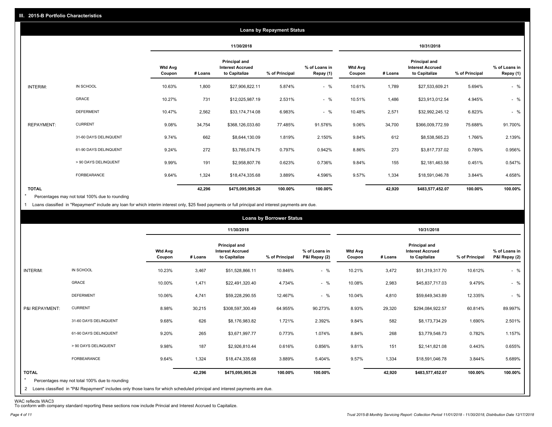|                   |                       |                   |            |                                                           | <b>Loans by Repayment Status</b> |                            |                          |         |                                                                  |                |                            |
|-------------------|-----------------------|-------------------|------------|-----------------------------------------------------------|----------------------------------|----------------------------|--------------------------|---------|------------------------------------------------------------------|----------------|----------------------------|
|                   |                       |                   | 11/30/2018 |                                                           |                                  | 10/31/2018                 |                          |         |                                                                  |                |                            |
|                   |                       | Wtd Avg<br>Coupon | # Loans    | Principal and<br><b>Interest Accrued</b><br>to Capitalize | % of Principal                   | % of Loans in<br>Repay (1) | <b>Wtd Avg</b><br>Coupon | # Loans | <b>Principal and</b><br><b>Interest Accrued</b><br>to Capitalize | % of Principal | % of Loans in<br>Repay (1) |
| INTERIM:          | IN SCHOOL             | 10.63%            | 1,800      | \$27,906,822.11                                           | 5.874%                           | $-$ %                      | 10.61%                   | 1,789   | \$27,533,609.21                                                  | 5.694%         | $-$ %                      |
|                   | GRACE                 | 10.27%            | 731        | \$12,025,987.19                                           | 2.531%                           | $-$ %                      | 10.51%                   | 1,486   | \$23,913,012.54                                                  | 4.945%         | $-$ %                      |
|                   | <b>DEFERMENT</b>      | 10.47%            | 2,562      | \$33,174,714.08                                           | 6.983%                           | $-$ %                      | 10.48%                   | 2,571   | \$32,992,245.12                                                  | 6.823%         | $-$ %                      |
| <b>REPAYMENT:</b> | <b>CURRENT</b>        | 9.08%             | 34,754     | \$368,126,033.60                                          | 77.485%                          | 91.576%                    | 9.06%                    | 34,700  | \$366,009,772.59                                                 | 75.688%        | 91.700%                    |
|                   | 31-60 DAYS DELINQUENT | 9.74%             | 662        | \$8,644,130.09                                            | 1.819%                           | 2.150%                     | 9.84%                    | 612     | \$8,538,565.23                                                   | 1.766%         | 2.139%                     |
|                   | 61-90 DAYS DELINQUENT | 9.24%             | 272        | \$3,785,074.75                                            | 0.797%                           | 0.942%                     | 8.86%                    | 273     | \$3,817,737.02                                                   | 0.789%         | 0.956%                     |
|                   | > 90 DAYS DELINQUENT  | 9.99%             | 191        | \$2,958,807.76                                            | 0.623%                           | 0.736%                     | 9.84%                    | 155     | \$2,181,463.58                                                   | 0.451%         | 0.547%                     |
|                   | FORBEARANCE           | 9.64%             | 1,324      | \$18,474,335.68                                           | 3.889%                           | 4.596%                     | 9.57%                    | 1,334   | \$18,591,046.78                                                  | 3.844%         | 4.658%                     |
| <b>TOTAL</b>      |                       |                   | 42,296     | \$475,095,905.26                                          | 100.00%                          | 100.00%                    |                          | 42,920  | \$483,577,452.07                                                 | 100.00%        | 100.00%                    |

Percentages may not total 100% due to rounding \*

1 Loans classified in "Repayment" include any loan for which interim interest only, \$25 fixed payments or full principal and interest payments are due.

|                         |                                                                                                                              |                          |            |                                                                  | <b>Loans by Borrower Status</b> |                                |                          |         |                                                                  |                |                                |
|-------------------------|------------------------------------------------------------------------------------------------------------------------------|--------------------------|------------|------------------------------------------------------------------|---------------------------------|--------------------------------|--------------------------|---------|------------------------------------------------------------------|----------------|--------------------------------|
|                         |                                                                                                                              |                          | 11/30/2018 |                                                                  |                                 | 10/31/2018                     |                          |         |                                                                  |                |                                |
|                         |                                                                                                                              | <b>Wtd Avg</b><br>Coupon | # Loans    | <b>Principal and</b><br><b>Interest Accrued</b><br>to Capitalize | % of Principal                  | % of Loans in<br>P&I Repay (2) | <b>Wtd Avg</b><br>Coupon | # Loans | <b>Principal and</b><br><b>Interest Accrued</b><br>to Capitalize | % of Principal | % of Loans in<br>P&I Repay (2) |
| <b>INTERIM:</b>         | IN SCHOOL                                                                                                                    | 10.23%                   | 3,467      | \$51,528,866.11                                                  | 10.846%                         | $-$ %                          | 10.21%                   | 3,472   | \$51,319,317.70                                                  | 10.612%        | $-$ %                          |
|                         | GRACE                                                                                                                        | 10.00%                   | 1,471      | \$22,491,320.40                                                  | 4.734%                          | $-$ %                          | 10.08%                   | 2,983   | \$45,837,717.03                                                  | 9.479%         | $-$ %                          |
|                         | <b>DEFERMENT</b>                                                                                                             | 10.06%                   | 4,741      | \$59,228,290.55                                                  | 12.467%                         | $-$ %                          | 10.04%                   | 4,810   | \$59,649,343.89                                                  | 12.335%        | $-$ %                          |
| P&I REPAYMENT:          | <b>CURRENT</b>                                                                                                               | 8.98%                    | 30,215     | \$308,597,300.49                                                 | 64.955%                         | 90.273%                        | 8.93%                    | 29,320  | \$294,084,922.57                                                 | 60.814%        | 89.997%                        |
|                         | 31-60 DAYS DELINQUENT                                                                                                        | 9.68%                    | 626        | \$8,176,983.82                                                   | 1.721%                          | 2.392%                         | 9.84%                    | 582     | \$8,173,734.29                                                   | 1.690%         | 2.501%                         |
|                         | 61-90 DAYS DELINQUENT                                                                                                        | 9.20%                    | 265        | \$3,671,997.77                                                   | 0.773%                          | 1.074%                         | 8.84%                    | 268     | \$3,779,548.73                                                   | 0.782%         | 1.157%                         |
|                         | > 90 DAYS DELINQUENT                                                                                                         | 9.98%                    | 187        | \$2,926,810.44                                                   | 0.616%                          | 0.856%                         | 9.81%                    | 151     | \$2,141,821.08                                                   | 0.443%         | 0.655%                         |
|                         | <b>FORBEARANCE</b>                                                                                                           | 9.64%                    | 1,324      | \$18,474,335.68                                                  | 3.889%                          | 5.404%                         | 9.57%                    | 1,334   | \$18,591,046.78                                                  | 3.844%         | 5.689%                         |
| <b>TOTAL</b><br>$\star$ | Percentages may not total 100% due to rounding                                                                               |                          | 42,296     | \$475,095,905.26                                                 | 100.00%                         | 100.00%                        |                          | 42,920  | \$483,577,452.07                                                 | 100.00%        | 100.00%                        |
|                         | 2 Loans classified in "P&I Repayment" includes only those loans for which scheduled principal and interest payments are due. |                          |            |                                                                  |                                 |                                |                          |         |                                                                  |                |                                |

WAC reflects WAC3 To conform with company standard reporting these sections now include Princial and Interest Accrued to Capitalize.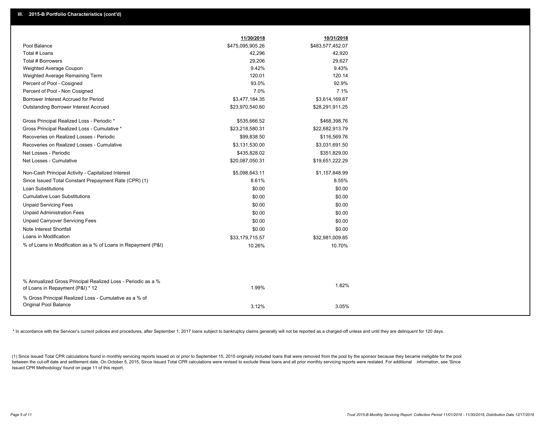|                                                               | 11/30/2018       | 10/31/2018       |
|---------------------------------------------------------------|------------------|------------------|
| Pool Balance                                                  | \$475,095,905.26 | \$483,577,452.07 |
| Total # Loans                                                 | 42,296           | 42,920           |
| Total # Borrowers                                             | 29,206           | 29,627           |
| Weighted Average Coupon                                       | 9.42%            | 9.43%            |
| Weighted Average Remaining Term                               | 120.01           | 120.14           |
| Percent of Pool - Cosigned                                    | 93.0%            | 92.9%            |
| Percent of Pool - Non Cosigned                                | 7.0%             | 7.1%             |
| Borrower Interest Accrued for Period                          | \$3,477,184.35   | \$3,614,169.87   |
| <b>Outstanding Borrower Interest Accrued</b>                  | \$23,970,540.60  | \$28,291,911.25  |
| Gross Principal Realized Loss - Periodic *                    | \$535,666.52     | \$468,398.76     |
| Gross Principal Realized Loss - Cumulative *                  | \$23,218,580.31  | \$22,682,913.79  |
| Recoveries on Realized Losses - Periodic                      | \$99,838.50      | \$116,569.76     |
| Recoveries on Realized Losses - Cumulative                    | \$3,131,530.00   | \$3,031,691.50   |
| Net Losses - Periodic                                         | \$435,828.02     | \$351,829.00     |
| Net Losses - Cumulative                                       | \$20,087,050.31  | \$19,651,222.29  |
| Non-Cash Principal Activity - Capitalized Interest            | \$5,098,643.11   | \$1,157,848.99   |
| Since Issued Total Constant Prepayment Rate (CPR) (1)         | 8.61%            | 8.55%            |
| <b>Loan Substitutions</b>                                     | \$0.00           | \$0.00           |
| <b>Cumulative Loan Substitutions</b>                          | \$0.00           | \$0.00           |
| <b>Unpaid Servicing Fees</b>                                  | \$0.00           | \$0.00           |
| <b>Unpaid Administration Fees</b>                             | \$0.00           | \$0.00           |
| <b>Unpaid Carryover Servicing Fees</b>                        | \$0.00           | \$0.00           |
| Note Interest Shortfall                                       | \$0.00           | \$0.00           |
| Loans in Modification                                         | \$33,179,715.57  | \$32,981,009.85  |
| % of Loans in Modification as a % of Loans in Repayment (P&I) | 10.26%           | 10.70%           |
|                                                               |                  |                  |
| % Annualized Gross Principal Realized Loss - Periodic as a %  |                  |                  |
| of Loans in Repayment (P&I) * 12                              | 1.99%            | 1.82%            |
| % Gross Principal Realized Loss - Cumulative as a % of        |                  |                  |
| <b>Original Pool Balance</b>                                  | 3.12%            | 3.05%            |

\* In accordance with the Servicer's current policies and procedures, after September 1, 2017 loans subject to bankruptcy claims generally will not be reported as a charged-off unless and until they are delinquent for 120 d

(1) Since Issued Total CPR calculations found in monthly servicing reports issued on or prior to September 15, 2015 originally included loans that were removed from the pool by the sponsor because they became ineligible fo between the cut-off date and settlement date. On October 5, 2015, Since Issued Total CPR calculations were revised to exclude these loans and all prior monthly servicing reports were restated. For additional information, s Issued CPR Methodology' found on page 11 of this report.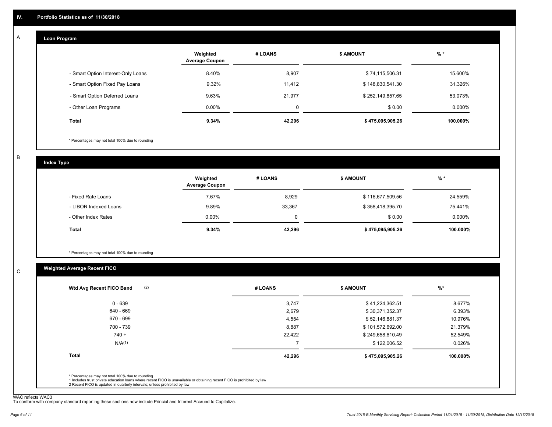#### **Loan Program**  A

|                                    | Weighted<br><b>Average Coupon</b> | # LOANS | <b>\$ AMOUNT</b> | $%$ *     |
|------------------------------------|-----------------------------------|---------|------------------|-----------|
| - Smart Option Interest-Only Loans | 8.40%                             | 8,907   | \$74,115,506.31  | 15.600%   |
| - Smart Option Fixed Pay Loans     | 9.32%                             | 11.412  | \$148,830,541.30 | 31.326%   |
| - Smart Option Deferred Loans      | 9.63%                             | 21,977  | \$252,149,857.65 | 53.073%   |
| - Other Loan Programs              | $0.00\%$                          | 0       | \$0.00           | $0.000\%$ |
| <b>Total</b>                       | 9.34%                             | 42,296  | \$475,095,905.26 | 100.000%  |

\* Percentages may not total 100% due to rounding

B

C

**Index Type**

|                       | Weighted<br><b>Average Coupon</b> | # LOANS  | \$ AMOUNT        | % *       |
|-----------------------|-----------------------------------|----------|------------------|-----------|
| - Fixed Rate Loans    | 7.67%                             | 8,929    | \$116,677,509.56 | 24.559%   |
| - LIBOR Indexed Loans | 9.89%                             | 33,367   | \$358,418,395.70 | 75.441%   |
| - Other Index Rates   | $0.00\%$                          | $\Omega$ | \$0.00           | $0.000\%$ |
| Total                 | 9.34%                             | 42,296   | \$475,095,905.26 | 100.000%  |

\* Percentages may not total 100% due to rounding

# **Weighted Average Recent FICO**

| $0 - 639$          | 3,747  | \$41,224,362.51  | 8.677%   |
|--------------------|--------|------------------|----------|
| 640 - 669          | 2,679  | \$30,371,352.37  | 6.393%   |
| 670 - 699          | 4,554  | \$52,146,881.37  | 10.976%  |
| 700 - 739          | 8,887  | \$101,572,692.00 | 21.379%  |
| $740 +$            | 22,422 | \$249,658,610.49 | 52.549%  |
| N/A <sup>(1)</sup> |        | \$122,006.52     | 0.026%   |
| <b>Total</b>       | 42,296 | \$475,095,905.26 | 100.000% |
|                    |        |                  |          |

WAC reflects WAC3 To conform with company standard reporting these sections now include Princial and Interest Accrued to Capitalize.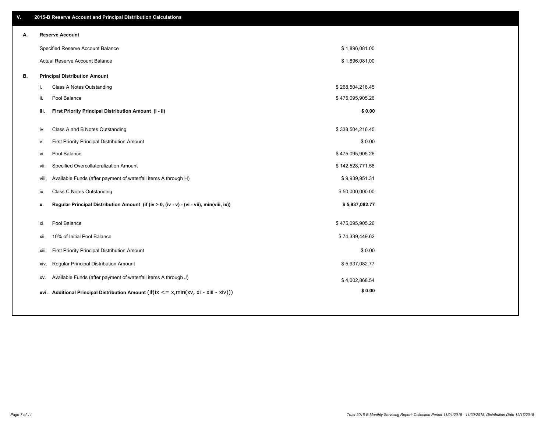| V. |       | 2015-B Reserve Account and Principal Distribution Calculations                             |                  |  |
|----|-------|--------------------------------------------------------------------------------------------|------------------|--|
| А. |       | <b>Reserve Account</b>                                                                     |                  |  |
|    |       | Specified Reserve Account Balance                                                          | \$1,896,081.00   |  |
|    |       | Actual Reserve Account Balance                                                             | \$1,896,081.00   |  |
| В. |       | <b>Principal Distribution Amount</b>                                                       |                  |  |
|    | j.    | Class A Notes Outstanding                                                                  | \$268,504,216.45 |  |
|    | ii.   | Pool Balance                                                                               | \$475,095,905.26 |  |
|    | iii.  | First Priority Principal Distribution Amount (i - ii)                                      | \$0.00           |  |
|    |       |                                                                                            |                  |  |
|    | iv.   | Class A and B Notes Outstanding                                                            | \$338,504,216.45 |  |
|    | v.    | First Priority Principal Distribution Amount                                               | \$0.00           |  |
|    | vi.   | Pool Balance                                                                               | \$475,095,905.26 |  |
|    | vii.  | Specified Overcollateralization Amount                                                     | \$142,528,771.58 |  |
|    | viii. | Available Funds (after payment of waterfall items A through H)                             | \$9,939,951.31   |  |
|    | ix.   | <b>Class C Notes Outstanding</b>                                                           | \$50,000,000.00  |  |
|    | x.    | Regular Principal Distribution Amount (if (iv > 0, (iv - v) - (vi - vii), min(viii, ix))   | \$5,937,082.77   |  |
|    |       |                                                                                            |                  |  |
|    | xi.   | Pool Balance                                                                               | \$475,095,905.26 |  |
|    | xii.  | 10% of Initial Pool Balance                                                                | \$74,339,449.62  |  |
|    | xiii. | First Priority Principal Distribution Amount                                               | \$0.00           |  |
|    | xiv.  | Regular Principal Distribution Amount                                                      | \$5,937,082.77   |  |
|    | XV.   | Available Funds (after payment of waterfall items A through J)                             | \$4,002,868.54   |  |
|    |       | xvi. Additional Principal Distribution Amount (if(ix $\lt$ = x, min(xv, xi - xiii - xiv))) | \$0.00           |  |
|    |       |                                                                                            |                  |  |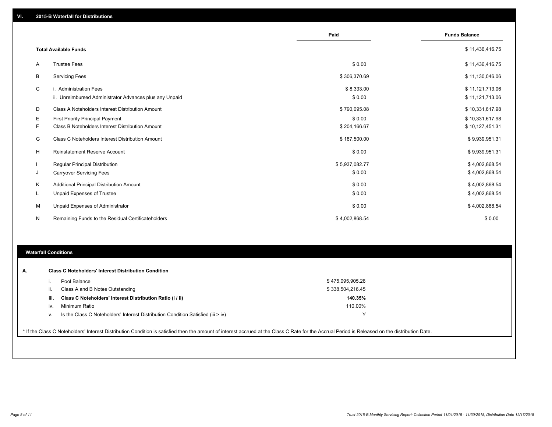|                |                                                         | Paid           | <b>Funds Balance</b> |
|----------------|---------------------------------------------------------|----------------|----------------------|
|                | <b>Total Available Funds</b>                            |                | \$11,436,416.75      |
|                |                                                         |                |                      |
| $\overline{A}$ | <b>Trustee Fees</b>                                     | \$0.00         | \$11,436,416.75      |
| В              | <b>Servicing Fees</b>                                   | \$306,370.69   | \$11,130,046.06      |
| C              | i. Administration Fees                                  | \$8,333.00     | \$11,121,713.06      |
|                | ii. Unreimbursed Administrator Advances plus any Unpaid | \$0.00         | \$11,121,713.06      |
| D              | Class A Noteholders Interest Distribution Amount        | \$790,095.08   | \$10,331,617.98      |
| Е              | <b>First Priority Principal Payment</b>                 | \$0.00         | \$10,331,617.98      |
| F              | Class B Noteholders Interest Distribution Amount        | \$204,166.67   | \$10,127,451.31      |
| G              | Class C Noteholders Interest Distribution Amount        | \$187,500.00   | \$9,939,951.31       |
| H              | <b>Reinstatement Reserve Account</b>                    | \$0.00         | \$9,939,951.31       |
|                | <b>Regular Principal Distribution</b>                   | \$5,937,082.77 | \$4,002,868.54       |
| J              | <b>Carryover Servicing Fees</b>                         | \$0.00         | \$4,002,868.54       |
| K              | Additional Principal Distribution Amount                | \$0.00         | \$4,002,868.54       |
| L.             | <b>Unpaid Expenses of Trustee</b>                       | \$0.00         | \$4,002,868.54       |
| м              | Unpaid Expenses of Administrator                        | \$0.00         | \$4,002,868.54       |
| N              | Remaining Funds to the Residual Certificateholders      | \$4,002,868.54 | \$0.00               |
|                |                                                         |                |                      |

### **Waterfall Conditions**

л

|      | Pool Balance                                                                       | \$475,095,905.26 |  |
|------|------------------------------------------------------------------------------------|------------------|--|
|      | Class A and B Notes Outstanding                                                    | \$338,504,216.45 |  |
| iii. | Class C Noteholders' Interest Distribution Ratio (i / ii)                          | 140.35%          |  |
| İV.  | Minimum Ratio                                                                      | 110.00%          |  |
| V.   | Is the Class C Noteholders' Interest Distribution Condition Satisfied (iii $>$ iv) | $\check{ }$      |  |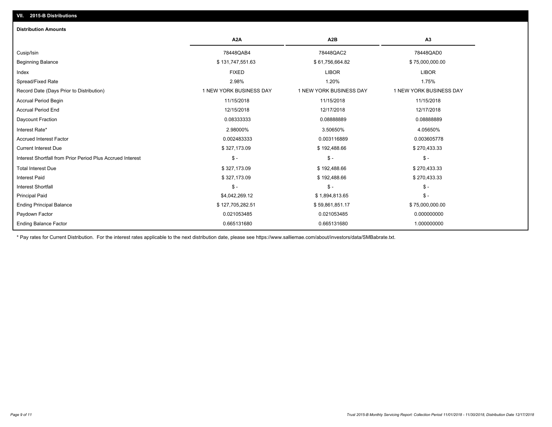# **VII. 2015-B Distributions**

| <b>Distribution Amounts</b>                                |                         |                         |                         |
|------------------------------------------------------------|-------------------------|-------------------------|-------------------------|
|                                                            | A <sub>2</sub> A        | A <sub>2</sub> B        | A <sub>3</sub>          |
| Cusip/Isin                                                 | 78448QAB4               | 78448QAC2               | 78448QAD0               |
| <b>Beginning Balance</b>                                   | \$131,747,551.63        | \$61,756,664.82         | \$75,000,000.00         |
| Index                                                      | <b>FIXED</b>            | <b>LIBOR</b>            | <b>LIBOR</b>            |
| Spread/Fixed Rate                                          | 2.98%                   | 1.20%                   | 1.75%                   |
| Record Date (Days Prior to Distribution)                   | 1 NEW YORK BUSINESS DAY | 1 NEW YORK BUSINESS DAY | 1 NEW YORK BUSINESS DAY |
| Accrual Period Begin                                       | 11/15/2018              | 11/15/2018              | 11/15/2018              |
| <b>Accrual Period End</b>                                  | 12/15/2018              | 12/17/2018              | 12/17/2018              |
| <b>Daycount Fraction</b>                                   | 0.08333333              | 0.08888889              | 0.08888889              |
| Interest Rate*                                             | 2.98000%                | 3.50650%                | 4.05650%                |
| <b>Accrued Interest Factor</b>                             | 0.002483333             | 0.003116889             | 0.003605778             |
| <b>Current Interest Due</b>                                | \$327,173.09            | \$192,488.66            | \$270,433.33            |
| Interest Shortfall from Prior Period Plus Accrued Interest | $\mathsf{\$}$ -         | $\mathsf{\$}$ -         | $\frac{1}{2}$           |
| <b>Total Interest Due</b>                                  | \$327,173.09            | \$192,488.66            | \$270,433.33            |
| Interest Paid                                              | \$327,173.09            | \$192,488.66            | \$270,433.33            |
| Interest Shortfall                                         | $\mathsf{\$}$ -         | $\mathsf{\$}$ -         | $$ -$                   |
| <b>Principal Paid</b>                                      | \$4,042,269.12          | \$1,894,813.65          | $\mathsf{\$}$ -         |
| <b>Ending Principal Balance</b>                            | \$127,705,282.51        | \$59,861,851.17         | \$75,000,000.00         |
| Paydown Factor                                             | 0.021053485             | 0.021053485             | 0.000000000             |
| <b>Ending Balance Factor</b>                               | 0.665131680             | 0.665131680             | 1.000000000             |

\* Pay rates for Current Distribution. For the interest rates applicable to the next distribution date, please see https://www.salliemae.com/about/investors/data/SMBabrate.txt.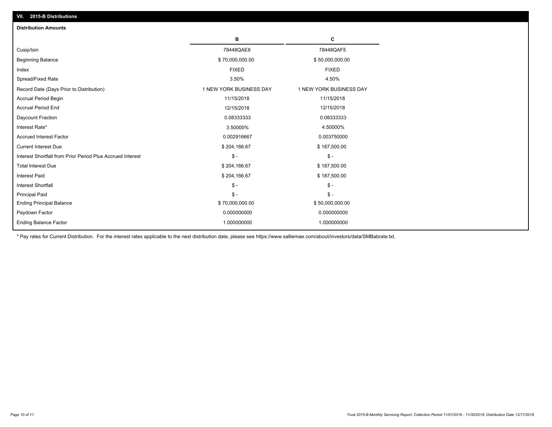| <b>Distribution Amounts</b>                                |                         |                         |
|------------------------------------------------------------|-------------------------|-------------------------|
|                                                            | в                       | C                       |
| Cusip/Isin                                                 | 78448QAE8               | 78448QAF5               |
| <b>Beginning Balance</b>                                   | \$70,000,000.00         | \$50,000,000.00         |
| Index                                                      | <b>FIXED</b>            | <b>FIXED</b>            |
| Spread/Fixed Rate                                          | 3.50%                   | 4.50%                   |
| Record Date (Days Prior to Distribution)                   | 1 NEW YORK BUSINESS DAY | 1 NEW YORK BUSINESS DAY |
| <b>Accrual Period Begin</b>                                | 11/15/2018              | 11/15/2018              |
| <b>Accrual Period End</b>                                  | 12/15/2018              | 12/15/2018              |
| Daycount Fraction                                          | 0.08333333              | 0.08333333              |
| Interest Rate*                                             | 3.50000%                | 4.50000%                |
| <b>Accrued Interest Factor</b>                             | 0.002916667             | 0.003750000             |
| <b>Current Interest Due</b>                                | \$204,166.67            | \$187,500.00            |
| Interest Shortfall from Prior Period Plus Accrued Interest | $\mathcal{S}$ -         | $\frac{1}{2}$           |
| <b>Total Interest Due</b>                                  | \$204,166.67            | \$187,500.00            |
| <b>Interest Paid</b>                                       | \$204,166.67            | \$187,500.00            |
| <b>Interest Shortfall</b>                                  | $\mathsf{\$}$ -         | $\mathsf{\$}$ -         |
| <b>Principal Paid</b>                                      | $\mathsf{\$}$ -         | $\mathsf{\$}$ -         |
| <b>Ending Principal Balance</b>                            | \$70,000,000.00         | \$50,000,000.00         |
| Paydown Factor                                             | 0.000000000             | 0.000000000             |
| <b>Ending Balance Factor</b>                               | 1.000000000             | 1.000000000             |

\* Pay rates for Current Distribution. For the interest rates applicable to the next distribution date, please see https://www.salliemae.com/about/investors/data/SMBabrate.txt.

**VII. 2015-B Distributions**